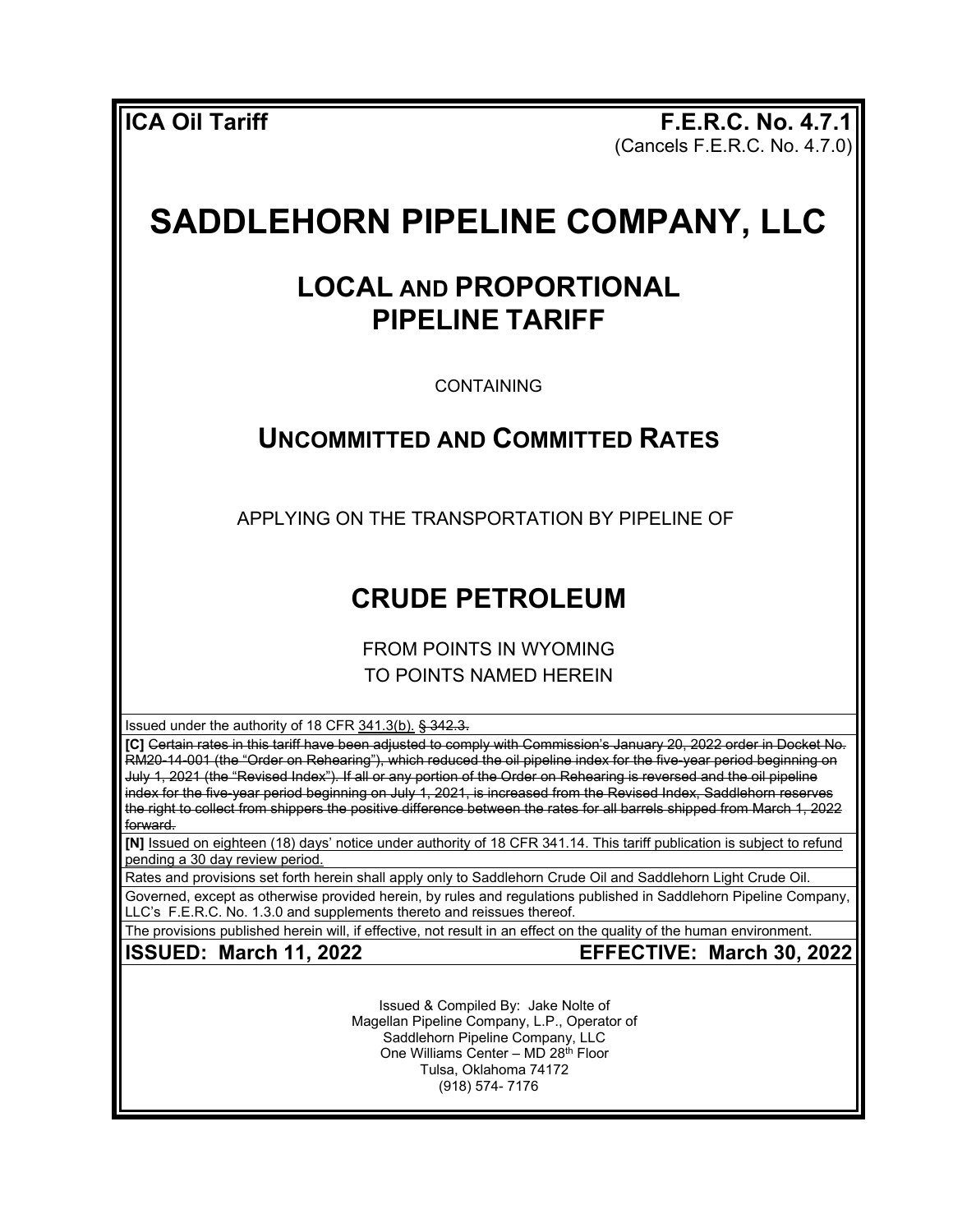**ICA Oil Tariff F.E.R.C. No. 4.7.1** (Cancels F.E.R.C. No. 4.7.0)

# **SADDLEHORN PIPELINE COMPANY, LLC**

## **LOCAL AND PROPORTIONAL PIPELINE TARIFF**

CONTAINING

### **UNCOMMITTED AND COMMITTED RATES**

APPLYING ON THE TRANSPORTATION BY PIPELINE OF

# **CRUDE PETROLEUM**

FROM POINTS IN WYOMING TO POINTS NAMED HEREIN

Issued under the authority of 18 CFR 341.3(b). § 342.3.

**[C]** Certain rates in this tariff have been adjusted to comply with Commission's January 20, 2022 order in Docket No. RM20-14-001 (the "Order on Rehearing"), which reduced the oil pipeline index for the five-year period beginning on July 1, 2021 (the "Revised Index"). If all or any portion of the Order on Rehearing is reversed and the oil pipeline index for the five-year period beginning on July 1, 2021, is increased from the Revised Index, Saddlehorn reserves the right to collect from shippers the positive difference between the rates for all barrels shipped from March 1, 2022 forward.

**[N]** Issued on eighteen (18) days' notice under authority of 18 CFR 341.14. This tariff publication is subject to refund pending a 30 day review period.

Rates and provisions set forth herein shall apply only to Saddlehorn Crude Oil and Saddlehorn Light Crude Oil. Governed, except as otherwise provided herein, by rules and regulations published in Saddlehorn Pipeline Company, LLC's F.E.R.C. No. 1.3.0 and supplements thereto and reissues thereof.

The provisions published herein will, if effective, not result in an effect on the quality of the human environment.

**ISSUED: March 11, 2022 EFFECTIVE: March 30, 2022**

Issued & Compiled By: Jake Nolte of Magellan Pipeline Company, L.P., Operator of Saddlehorn Pipeline Company, LLC One Williams Center – MD 28<sup>th</sup> Floor Tulsa, Oklahoma 74172 (918) 574- 7176